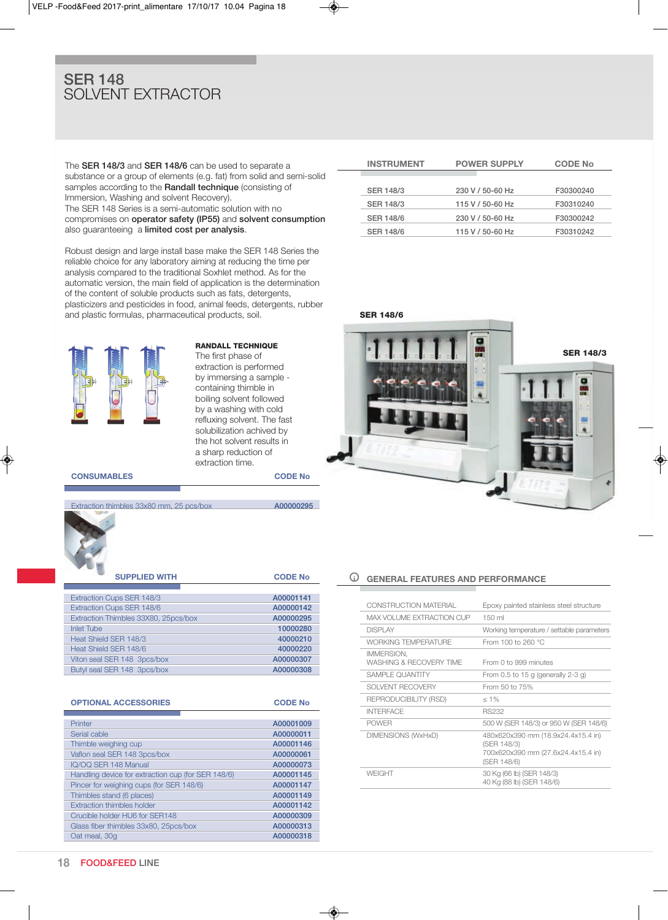## SER 148 SOLVENT EXTRACTOR

The SER 148/3 and SER 148/6 can be used to separate a substance or a group of elements (e.g. fat) from solid and semi-solid samples according to the **Randall technique** (consisting of Immersion, washing and solvent Recovery). The SER 148 Series is a semi-automatic solution with no compromises on operator safety (IP55) and solvent consumption

also guaranteeing a limited cost per analysis. Robust design and large install base make the SER 148 Series the reliable choice for any laboratory aiming at reducing the time per

analysis compared to the traditional Soxhlet method. As for the automatic version, the main field of application is the determination of the content of soluble products such as fats, detergents, plasticizers and pesticides in food, animal feeds, detergents, rubber and plastic formulas, pharmaceutical products, soil.

**RANDALL TECHNIQUE** The first phase of extraction is performed by immersing a sample containing thimble in boiling solvent followed by a washing with cold refluxing solvent. The fast solubilization achived by the hot solvent results in a sharp reduction of extraction time.

**CONSUMABLES CODE No**



| <b>SUPPLIED WITH</b>                 | <b>CODE No</b> |
|--------------------------------------|----------------|
|                                      |                |
| Extraction Cups SER 148/3            | A00001141      |
| Extraction Cups SER 148/6            | A00000142      |
| Extraction Thimbles 33X80, 25pcs/box | A00000295      |
| <b>Inlet Tube</b>                    | 10000280       |
| Heat Shield SER 148/3                | 40000210       |
| Heat Shield SER 148/6                | 40000220       |
| Viton seal SER 148 3pcs/box          | A00000307      |
| Butyl seal SER 148 3pcs/box          | A00000308      |

| <b>OPTIONAL ACCESSORIES</b>                        | <b>CODE No</b> |
|----------------------------------------------------|----------------|
|                                                    |                |
| Printer                                            | A00001009      |
| Serial cable                                       | A00000011      |
| Thimble weighing cup                               | A00001146      |
| Vaflon seal SER 148 3pcs/box                       | A00000061      |
| IQ/OQ SER 148 Manual                               | A00000073      |
| Handling device for extraction cup (for SER 148/6) | A00001145      |
| Pincer for weighing cups (for SER 148/6)           | A00001147      |
| Thimbles stand (6 places)                          | A00001149      |
| <b>Extraction thimbles holder</b>                  | A00001142      |
| Crucible holder HU6 for SER148                     | A00000309      |
| Glass fiber thimbles 33x80, 25pcs/box              | A00000313      |
| Oat meal, 30g                                      | A00000318      |

| <b>INSTRUMENT</b> | <b>POWER SUPPLY</b> | <b>CODE No</b> |
|-------------------|---------------------|----------------|
|                   |                     |                |
| <b>SER 148/3</b>  | 230 V / 50-60 Hz    | F30300240      |
| <b>SER 148/3</b>  | 115 V / 50-60 Hz    | F30310240      |
| <b>SER 148/6</b>  | 230 V / 50-60 Hz    | F30300242      |
| <b>SER 148/6</b>  | 115 V / 50-60 Hz    | F30310242      |
|                   |                     |                |





#### **i GENERAL FEATURES AND PERFORMANCE**

| <b>CONSTRUCTION MATERIAL</b>          | Epoxy painted stainless steel structure                                                                |
|---------------------------------------|--------------------------------------------------------------------------------------------------------|
| MAX VOLUME EXTRACTION CUP             | $150$ ml                                                                                               |
| <b>DISPLAY</b>                        | Working temperature / settable parameters                                                              |
| <b>WORKING TEMPERATURE</b>            | From 100 to 260 °C                                                                                     |
| IMMERSION,<br>WASHING & RECOVERY TIME | From 0 to 999 minutes                                                                                  |
| SAMPLE OUANTITY                       | From 0.5 to 15 g (generally 2-3 g)                                                                     |
| SOLVENT RECOVERY                      | From 50 to 75%                                                                                         |
| REPRODUCIBILITY (RSD)                 | $< 1\%$                                                                                                |
| <b>INTERFACE</b>                      | <b>RS232</b>                                                                                           |
| <b>POWER</b>                          | 500 W (SER 148/3) or 950 W (SER 148/6)                                                                 |
| <b>DIMENSIONS (WxHxD)</b>             | 480x620x390 mm (18.9x24.4x15.4 in)<br>(SER 148/3)<br>700x620x390 mm (27.6x24.4x15.4 in)<br>(SER 148/6) |
| <b>WEIGHT</b>                         | 30 Kg (66 lb) (SER 148/3)<br>40 Kg (88 lb) (SER 148/6)                                                 |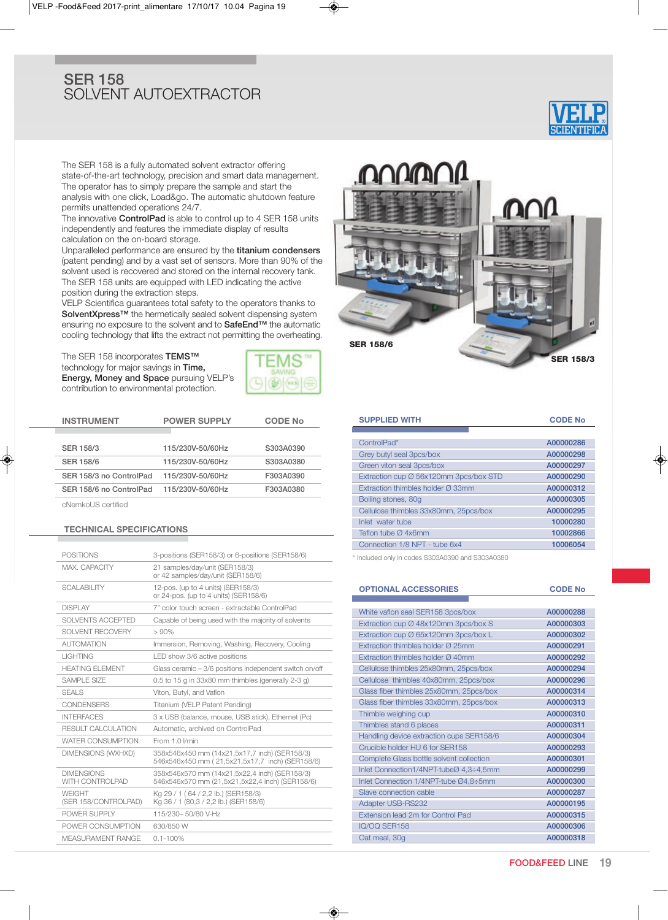## SER 158 SOLVENT AUTOEXTRACTOR



The SER 158 is a fully automated solvent extractor offering state-of-the-art technology, precision and smart data management. The operator has to simply prepare the sample and start the analysis with one click, Load&go. The automatic shutdown feature permits unattended operations 24/7.

The innovative **ControlPad** is able to control up to 4 SER 158 units independently and features the immediate display of results calculation on the on-board storage.

Unparalleled performance are ensured by the titanium condensers (patent pending) and by a vast set of sensors. More than 90% of the solvent used is recovered and stored on the internal recovery tank. The SER 158 units are equipped with LED indicating the active position during the extraction steps.

VELP Scientifica guarantees total safety to the operators thanks to SolventXpress™ the hermetically sealed solvent dispensing system ensuring no exposure to the solvent and to SafeEnd™ the automatic cooling technology that lifts the extract not permitting the overheating.

The SER 158 incorporates TEMS<sup>™</sup> technology for major savings in Time, Energy, Money and Space pursuing VELP's contribution to environmental protection.



| <b>INSTRUMENT</b>       | <b>POWER SUPPLY</b> | <b>CODE No</b> |
|-------------------------|---------------------|----------------|
|                         |                     |                |
| <b>SER 158/3</b>        | 115/230V-50/60Hz    | S303A0390      |
| <b>SER 158/6</b>        | 115/230V-50/60Hz    | S303A0380      |
| SER 158/3 no ControlPad | 115/230V-50/60Hz    | F303A0390      |
| SER 158/6 no ControlPad | 115/230V-50/60Hz    | F303A0380      |
|                         |                     |                |

cNemkoUS certified

### **TECHNICAL SPECIFICATIONS**

| <b>POSITIONS</b>                            | 3-positions (SER158/3) or 6-positions (SER158/6)                                                 |
|---------------------------------------------|--------------------------------------------------------------------------------------------------|
| MAX. CAPACITY                               | 21 samples/day/unit (SER158/3)<br>or 42 samples/day/unit (SER158/6)                              |
| <b>SCALABILITY</b>                          | 12-pos. (up to 4 units) (SER158/3)<br>or 24-pos. (up to 4 units) (SER158/6)                      |
| <b>DISPLAY</b>                              | 7" color touch screen - extractable ControlPad                                                   |
| SOLVENTS ACCEPTED                           | Capable of being used with the majority of solvents                                              |
| SOLVENT RECOVERY                            | > 90%                                                                                            |
| <b>AUTOMATION</b>                           | Immersion, Removing, Washing, Recovery, Cooling                                                  |
| <b>LIGHTING</b>                             | LED show 3/6 active positions                                                                    |
| <b>HEATING FI FMENT</b>                     | Glass ceramic - 3/6 positions independent switch on/off                                          |
| SAMPLE SIZE                                 | 0.5 to 15 g in 33x80 mm thimbles (generally 2-3 g)                                               |
| <b>SEALS</b>                                | Viton. Butvl. and Vaflon                                                                         |
| <b>CONDENSERS</b>                           | Titanium (VELP Patent Pending)                                                                   |
| <b>INTERFACES</b>                           | 3 x USB (balance, mouse, USB stick), Ethernet (Pc)                                               |
| RESULT CALCULATION                          | Automatic, archived on ControlPad                                                                |
| <b>WATER CONSUMPTION</b>                    | From 1.0 I/min                                                                                   |
| <b>DIMENSIONS (WXHXD)</b>                   | 358x546x450 mm (14x21,5x17,7 inch) (SER158/3)<br>546x546x450 mm (21,5x21,5x17,7 inch) (SER158/6) |
| <b>DIMENSIONS</b><br><b>WITH CONTROLPAD</b> | 358x546x570 mm (14x21,5x22,4 inch) (SER158/3)<br>546x546x570 mm (21,5x21,5x22,4 inch) (SER158/6) |
| <b>WFIGHT</b><br>(SER 158/CONTROLPAD)       | Kg 29 / 1 (64 / 2,2 lb.) (SER158/3)<br>Kg 36 / 1 (80,3 / 2,2 lb.) (SER158/6)                     |
| POWER SUPPLY                                | 115/230-50/60 V-Hz                                                                               |
| POWER CONSUMPTION                           | 630/850 W                                                                                        |
| <b>MEASURAMENT RANGE</b>                    | $0.1 - 100\%$                                                                                    |



| <b>SUPPLIED WITH</b>                          | <b>CODE No</b> |
|-----------------------------------------------|----------------|
|                                               |                |
| ControlPad*                                   | A00000286      |
| Grey butyl seal 3pcs/box                      | A00000298      |
| Green viton seal 3pcs/box                     | A00000297      |
| Extraction cup Ø 56x120mm 3pcs/box STD        | A00000290      |
| Extraction thimbles holder $\varnothing$ 33mm | A00000312      |
| Boiling stones, 80g                           | A00000305      |
| Cellulose thimbles 33x80mm, 25pcs/box         | A00000295      |
| Inlet water tube                              | 10000280       |
| Teflon tube Ø 4x6mm                           | 10002866       |
| Connection 1/8 NPT - tube 6x4                 | 10006054       |
|                                               |                |

\* Included only in codes S303A0390 and S303A0380

#### **OPTIONAL ACCESSORIES CODE No**

| White vaflon seal SER158 3pcs/box             | A00000288 |
|-----------------------------------------------|-----------|
| Extraction cup Ø 48x120mm 3pcs/box S          | A00000303 |
| Extraction cup Ø 65x120mm 3pcs/box L          | A00000302 |
| Extraction thimbles holder $\varnothing$ 25mm | A00000291 |
| Extraction thimbles holder $\varnothing$ 40mm | A00000292 |
| Cellulose thimbles 25x80mm, 25pcs/box         | A00000294 |
| Cellulose thimbles 40x80mm, 25pcs/box         | A00000296 |
| Glass fiber thimbles 25x80mm, 25pcs/box       | A00000314 |
| Glass fiber thimbles 33x80mm, 25pcs/box       | A00000313 |
| Thimble weighing cup                          | A00000310 |
| Thimbles stand 6 places                       | A00000311 |
| Handling device extraction cups SER158/6      | A00000304 |
| Crucible holder HU 6 for SER158               | A00000293 |
| Complete Glass bottle solvent collection      | A00000301 |
| Inlet Connection1/4NPT-tubeØ 4,3÷4,5mm        | A00000299 |
| Inlet Connection 1/4NPT-tube Ø4,8÷5mm         | A00000300 |
| Slave connection cable                        | A00000287 |
| <b>Adapter USB-RS232</b>                      | A00000195 |
| Extension lead 2m for Control Pad             | A00000315 |
| IQ/OQ SER158                                  | A00000306 |
| Oat meal, 30q                                 | A00000318 |
|                                               |           |